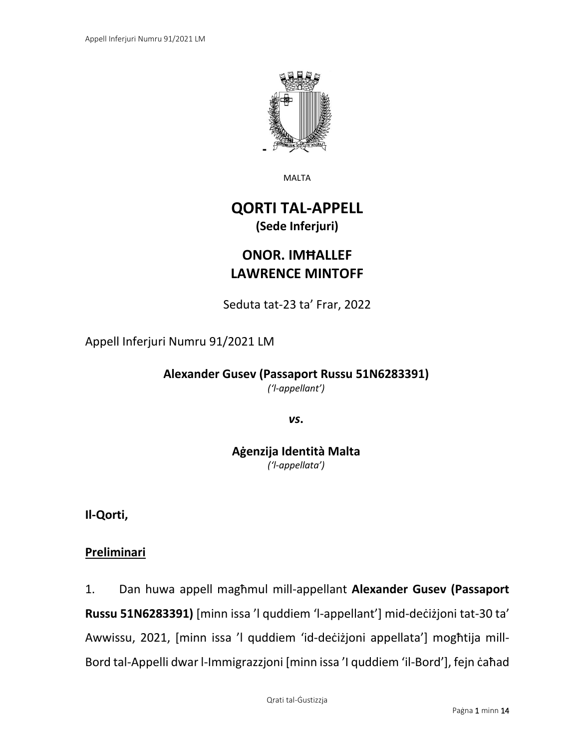

MALTA

# **QORTI TAL-APPELL (Sede Inferjuri)**

# **ONOR. IMĦALLEF LAWRENCE MINTOFF**

Seduta tat-23 ta' Frar, 2022

### Appell Inferjuri Numru 91/2021 LM

**Alexander Gusev (Passaport Russu 51N6283391)** *('l-appellant')*

*vs***.**

**Aġenzija Identità Malta** *('l-appellata')*

**Il-Qorti,**

### **Preliminari**

1. Dan huwa appell magħmul mill-appellant **Alexander Gusev (Passaport Russu 51N6283391)** [minn issa 'l quddiem 'l-appellant'] mid-deċiżjoni tat-30 ta' Awwissu, 2021, [minn issa 'l quddiem 'id-deċiżjoni appellata'] mogħtija mill-Bord tal-Appelli dwar l-Immigrazzjoni [minn issa 'I quddiem 'il-Bord'], fejn caħad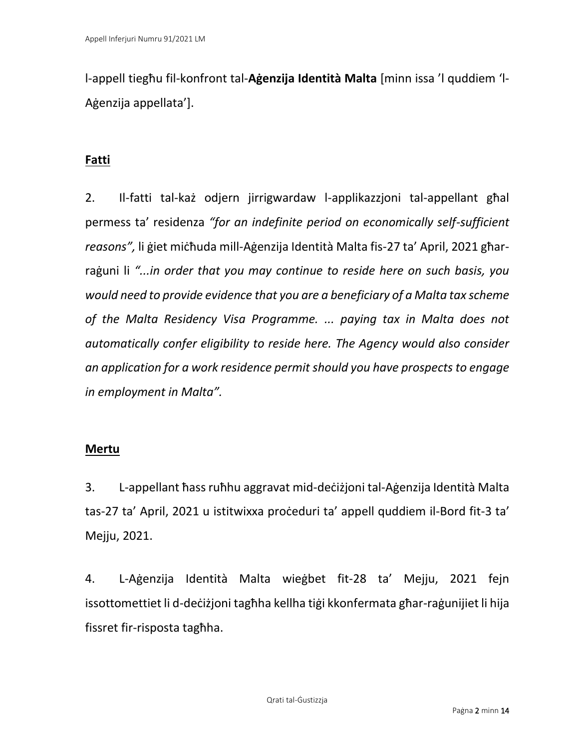l-appell tiegħu fil-konfront tal-**Aġenzija Identità Malta** [minn issa 'l quddiem 'l-Aġenzija appellata'].

## **Fatti**

2. Il-fatti tal-każ odjern jirrigwardaw l-applikazzjoni tal-appellant għal permess ta' residenza *"for an indefinite period on economically self-sufficient reasons",* li ġiet miċħuda mill-Aġenzija Identità Malta fis-27 ta' April, 2021 għarraġuni li *"...in order that you may continue to reside here on such basis, you would need to provide evidence that you are a beneficiary of a Malta tax scheme of the Malta Residency Visa Programme. ... paying tax in Malta does not automatically confer eligibility to reside here. The Agency would also consider an application for a work residence permit should you have prospects to engage in employment in Malta".* 

### **Mertu**

3. L-appellant ħass ruħhu aggravat mid-deċiżjoni tal-Aġenzija Identità Malta tas-27 ta' April, 2021 u istitwixxa proċeduri ta' appell quddiem il-Bord fit-3 ta' Mejju, 2021.

4. L-Aġenzija Identità Malta wieġbet fit-28 ta' Mejju, 2021 fejn issottomettiet li d-deċiżjoni tagħha kellha tiġi kkonfermata għar-raġunijiet li hija fissret fir-risposta tagħha.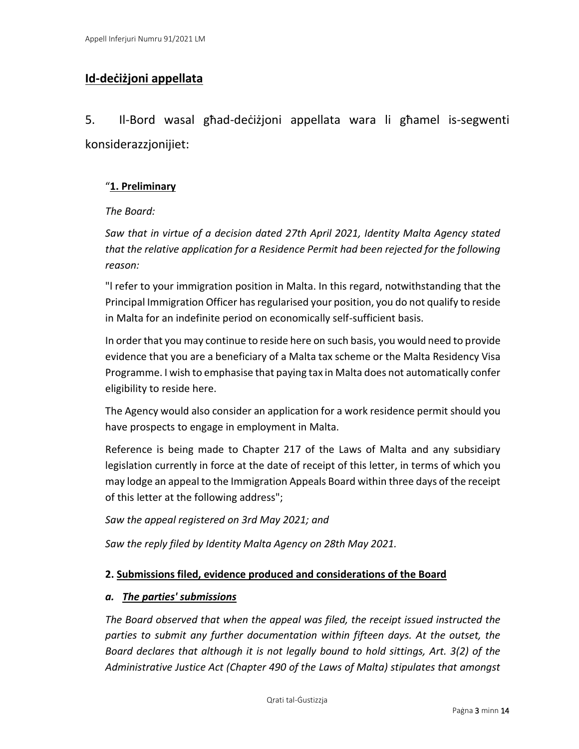### **Id-deċiżjoni appellata**

5. Il-Bord wasal għad-deċiżjoni appellata wara li għamel is-segwenti konsiderazzjonijiet:

#### "**1. Preliminary**

#### *The Board:*

*Saw that in virtue of a decision dated 27th April 2021, Identity Malta Agency stated that the relative application for a Residence Permit had been rejected for the following reason:*

"l refer to your immigration position in Malta. In this regard, notwithstanding that the Principal Immigration Officer has regularised your position, you do not qualify to reside in Malta for an indefinite period on economically self-sufficient basis.

In order that you may continue to reside here on such basis, you would need to provide evidence that you are a beneficiary of a Malta tax scheme or the Malta Residency Visa Programme. I wish to emphasise that paying tax in Malta does not automatically confer eligibility to reside here.

The Agency would also consider an application for a work residence permit should you have prospects to engage in employment in Malta.

Reference is being made to Chapter 217 of the Laws of Malta and any subsidiary legislation currently in force at the date of receipt of this letter, in terms of which you may lodge an appeal to the Immigration Appeals Board within three days of the receipt of this letter at the following address";

*Saw the appeal registered on 3rd May 2021; and*

*Saw the reply filed by Identity Malta Agency on 28th May 2021.*

#### **2. Submissions filed, evidence produced and considerations of the Board**

#### *a. The parties' submissions*

*The Board observed that when the appeal was filed, the receipt issued instructed the parties to submit any further documentation within fifteen days. At the outset, the Board declares that although it is not legally bound to hold sittings, Art. 3(2) of the Administrative Justice Act (Chapter 490 of the Laws of Malta) stipulates that amongst*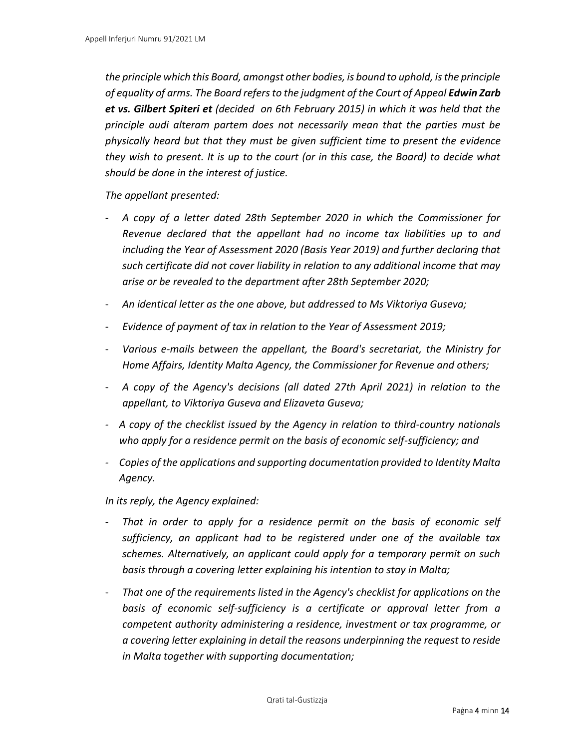*the principle which this Board, amongst other bodies, is bound to uphold, is the principle of equality of arms. The Board refers to the judgment of the Court of Appeal Edwin Zarb et vs. Gilbert Spiteri et (decided on 6th February 2015) in which it was held that the principle audi alteram partem does not necessarily mean that the parties must be physically heard but that they must be given sufficient time to present the evidence they wish to present. It is up to the court (or in this case, the Board) to decide what should be done in the interest of justice.*

*The appellant presented:*

- *A copy of a letter dated 28th September 2020 in which the Commissioner for Revenue declared that the appellant had no income tax liabilities up to and including the Year of Assessment 2020 (Basis Year 2019) and further declaring that such certificate did not cover liability in relation to any additional income that may arise or be revealed to the department after 28th September 2020;*
- *An identical letter as the one above, but addressed to Ms Viktoriya Guseva;*
- *Evidence of payment of tax in relation to the Year of Assessment 2019;*
- *Various e-mails between the appellant, the Board's secretariat, the Ministry for Home Affairs, Identity Malta Agency, the Commissioner for Revenue and others;*
- *A copy of the Agency's decisions (all dated 27th April 2021) in relation to the appellant, to Viktoriya Guseva and Elizaveta Guseva;*
- *- A copy of the checklist issued by the Agency in relation to third-country nationals who apply for a residence permit on the basis of economic self-sufficiency; and*
- *- Copies of the applications and supporting documentation provided to Identity Malta Agency.*

*In its reply, the Agency explained:*

- *That in order to apply for a residence permit on the basis of economic self sufficiency, an applicant had to be registered under one of the available tax schemes. Alternatively, an applicant could apply for a temporary permit on such basis through a covering letter explaining his intention to stay in Malta;*
- *That one of the requirements listed in the Agency's checklist for applications on the basis of economic self-sufficiency is a certificate or approval letter from a competent authority administering a residence, investment or tax programme, or a covering letter explaining in detail the reasons underpinning the request to reside in Malta together with supporting documentation;*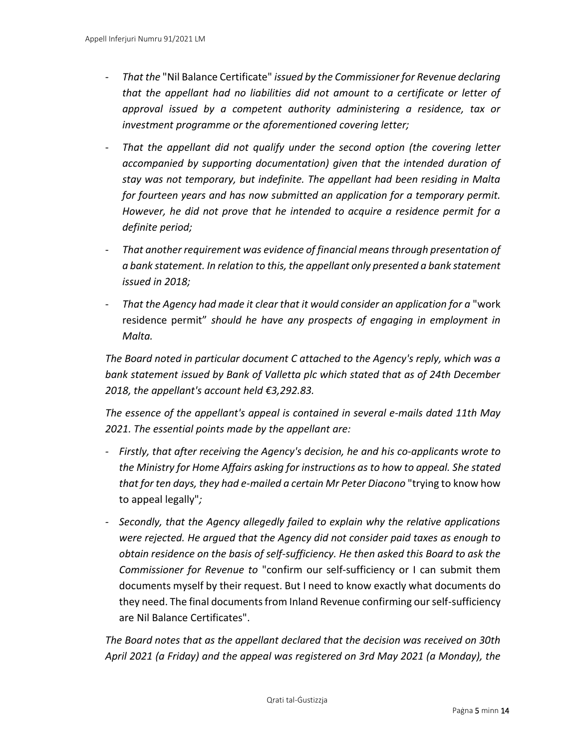- *That the* "Nil Balance Certificate" *issued by the Commissioner for Revenue declaring that the appellant had no liabilities did not amount to a certificate or letter of approval issued by a competent authority administering a residence, tax or investment programme or the aforementioned covering letter;*
- *That the appellant did not qualify under the second option (the covering letter accompanied by supporting documentation) given that the intended duration of stay was not temporary, but indefinite. The appellant had been residing in Malta for fourteen years and has now submitted an application for a temporary permit. However, he did not prove that he intended to acquire a residence permit for a definite period;*
- *That another requirement was evidence of financial means through presentation of a bank statement. In relation to this, the appellant only presented a bank statement issued in 2018;*
- *That the Agency had made it clear that it would consider an application for a* "work residence permit" *should he have any prospects of engaging in employment in Malta.*

*The Board noted in particular document C attached to the Agency's reply, which was a bank statement issued by Bank of Valletta plc which stated that as of 24th December 2018, the appellant's account held €3,292.83.*

*The essence of the appellant's appeal is contained in several e-mails dated 11th May 2021. The essential points made by the appellant are:*

- *- Firstly, that after receiving the Agency's decision, he and his co-applicants wrote to the Ministry for Home Affairs asking for instructions as to how to appeal. She stated that for ten days, they had e-mailed a certain Mr Peter Diacono* "trying to know how to appeal legally"*;*
- *- Secondly, that the Agency allegedly failed to explain why the relative applications were rejected. He argued that the Agency did not consider paid taxes as enough to obtain residence on the basis of self-sufficiency. He then asked this Board to ask the Commissioner for Revenue to* "confirm our self-sufficiency or I can submit them documents myself by their request. But I need to know exactly what documents do they need. The final documents from Inland Revenue confirming our self-sufficiency are Nil Balance Certificates".

*The Board notes that as the appellant declared that the decision was received on 30th April 2021 (a Friday) and the appeal was registered on 3rd May 2021 (a Monday), the*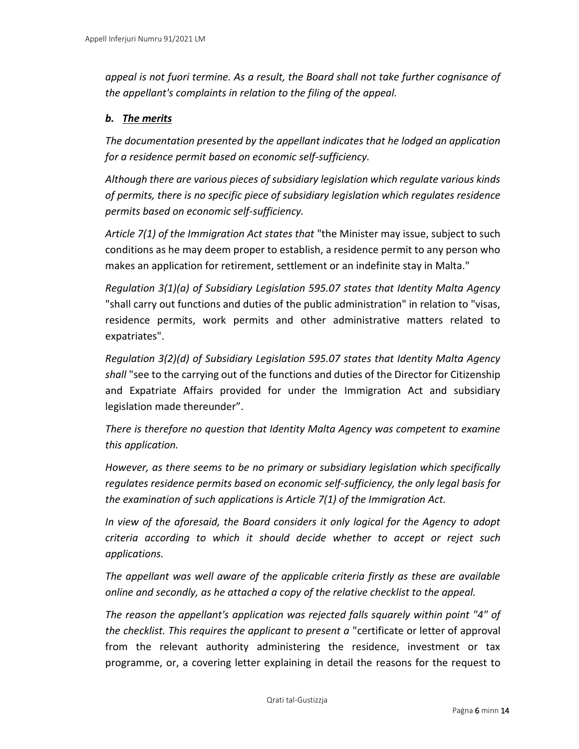*appeal is not fuori termine. As a result, the Board shall not take further cognisance of the appellant's complaints in relation to the filing of the appeal.*

#### *b. The merits*

*The documentation presented by the appellant indicates that he lodged an application for a residence permit based on economic self-sufficiency.*

*Although there are various pieces of subsidiary legislation which regulate various kinds of permits, there is no specific piece of subsidiary legislation which regulates residence permits based on economic self-sufficiency.*

*Article 7(1) of the Immigration Act states that* "the Minister may issue, subject to such conditions as he may deem proper to establish, a residence permit to any person who makes an application for retirement, settlement or an indefinite stay in Malta."

*Regulation 3(1)(a) of Subsidiary Legislation 595.07 states that Identity Malta Agency*  "shall carry out functions and duties of the public administration" in relation to "visas, residence permits, work permits and other administrative matters related to expatriates".

*Regulation 3(2)(d) of Subsidiary Legislation 595.07 states that Identity Malta Agency shall* "see to the carrying out of the functions and duties of the Director for Citizenship and Expatriate Affairs provided for under the Immigration Act and subsidiary legislation made thereunder".

*There is therefore no question that Identity Malta Agency was competent to examine this application.*

*However, as there seems to be no primary or subsidiary legislation which specifically regulates residence permits based on economic self-sufficiency, the only legal basis for the examination of such applications is Article 7(1) of the Immigration Act.*

*In view of the aforesaid, the Board considers it only logical for the Agency to adopt criteria according to which it should decide whether to accept or reject such applications.*

*The appellant was well aware of the applicable criteria firstly as these are available online and secondly, as he attached a copy of the relative checklist to the appeal.*

*The reason the appellant's application was rejected falls squarely within point "4" of the checklist. This requires the applicant to present a* "certificate or letter of approval from the relevant authority administering the residence, investment or tax programme, or, a covering letter explaining in detail the reasons for the request to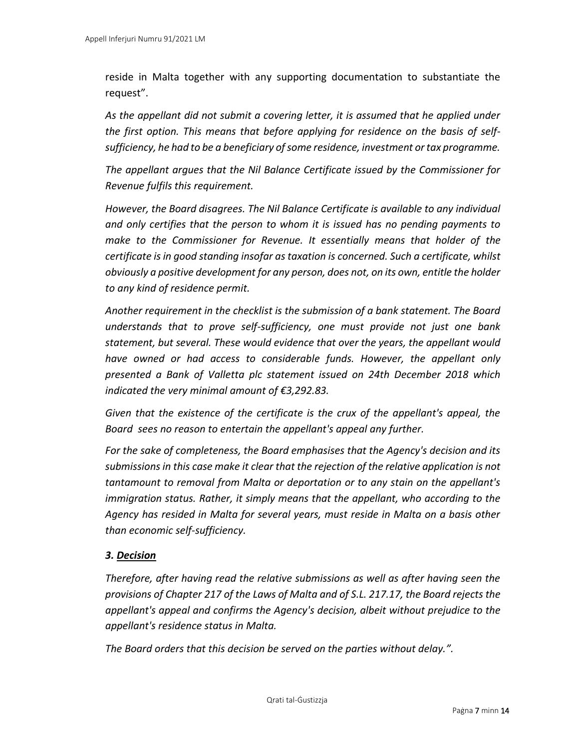reside in Malta together with any supporting documentation to substantiate the request".

*As the appellant did not submit a covering letter, it is assumed that he applied under the first option. This means that before applying for residence on the basis of selfsufficiency, he had to be a beneficiary of some residence, investment or tax programme.* 

*The appellant argues that the Nil Balance Certificate issued by the Commissioner for Revenue fulfils this requirement.*

*However, the Board disagrees. The Nil Balance Certificate is available to any individual and only certifies that the person to whom it is issued has no pending payments to make to the Commissioner for Revenue. It essentially means that holder of the certificate is in good standing insofar as taxation is concerned. Such a certificate, whilst obviously a positive development for any person, does not, on its own, entitle the holder to any kind of residence permit.*

*Another requirement in the checklist is the submission of a bank statement. The Board understands that to prove self-sufficiency, one must provide not just one bank statement, but several. These would evidence that over the years, the appellant would have owned or had access to considerable funds. However, the appellant only presented a Bank of Valletta plc statement issued on 24th December 2018 which indicated the very minimal amount of €3,292.83.*

*Given that the existence of the certificate is the crux of the appellant's appeal, the Board sees no reason to entertain the appellant's appeal any further.* 

*For the sake of completeness, the Board emphasises that the Agency's decision and its submissions in this case make it clear that the rejection of the relative application is not tantamount to removal from Malta or deportation or to any stain on the appellant's immigration status. Rather, it simply means that the appellant, who according to the Agency has resided in Malta for several years, must reside in Malta on a basis other than economic self-sufficiency.*

#### *3. Decision*

*Therefore, after having read the relative submissions as well as after having seen the provisions of Chapter 217 of the Laws of Malta and of S.L. 217.17, the Board rejects the appellant's appeal and confirms the Agency's decision, albeit without prejudice to the appellant's residence status in Malta.*

*The Board orders that this decision be served on the parties without delay.".*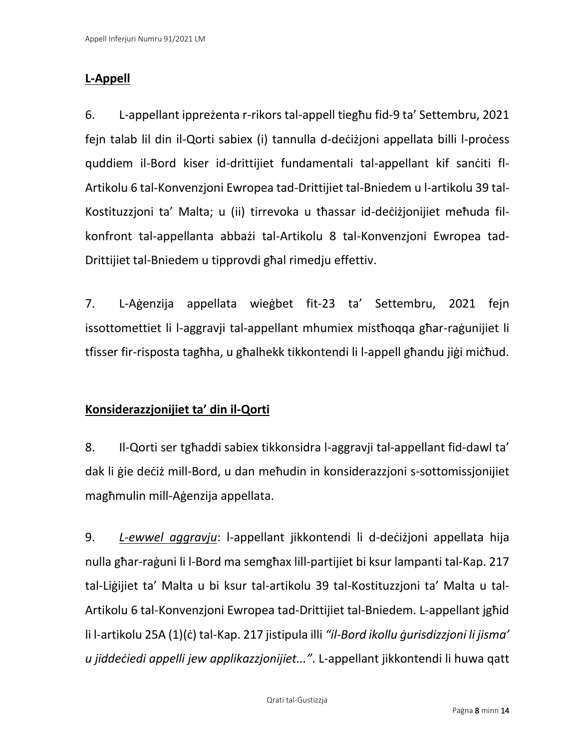## **L-Appell**

6. L-appellant ippreżenta r-rikors tal-appell tiegħu fid-9 ta' Settembru, 2021 fejn talab lil din il-Qorti sabiex (i) tannulla d-deċiżjoni appellata billi l-proċess quddiem il-Bord kiser id-drittijiet fundamentali tal-appellant kif sanċiti fl-Artikolu 6 tal-Konvenzjoni Ewropea tad-Drittijiet tal-Bniedem u l-artikolu 39 tal-Kostituzzjoni ta' Malta; u (ii) tirrevoka u tħassar id-deċiżjonijiet meħuda filkonfront tal-appellanta abbażi tal-Artikolu 8 tal-Konvenzjoni Ewropea tad-Drittijiet tal-Bniedem u tipprovdi għal rimedju effettiv.

7. L-Aġenzija appellata wieġbet fit-23 ta' Settembru, 2021 fejn issottomettiet li l-aggravji tal-appellant mhumiex mistħoqqa għar-raġunijiet li tfisser fir-risposta tagħha, u għalhekk tikkontendi li l-appell għandu jiġi miċħud.

## **Konsiderazzjonijiet ta' din il-Qorti**

8. Il-Qorti ser tgħaddi sabiex tikkonsidra l-aggravji tal-appellant fid-dawl ta' dak li ġie deċiż mill-Bord, u dan meħudin in konsiderazzjoni s-sottomissjonijiet magħmulin mill-Aġenzija appellata.

9. *L*-*ewwel aggravju*: l-appellant jikkontendi li d-deċiżjoni appellata hija nulla għar-raġuni li l-Bord ma semgħax lill-partijiet bi ksur lampanti tal-Kap. 217 tal-Liġijiet ta' Malta u bi ksur tal-artikolu 39 tal-Kostituzzjoni ta' Malta u tal-Artikolu 6 tal-Konvenzjoni Ewropea tad-Drittijiet tal-Bniedem. L-appellant jgħid li l-artikolu 25A (1)(ċ) tal-Kap. 217 jistipula illi *"il-Bord ikollu ġurisdizzjoni li jisma' u jiddeċiedi appelli jew applikazzjonijiet..."*. L-appellant jikkontendi li huwa qatt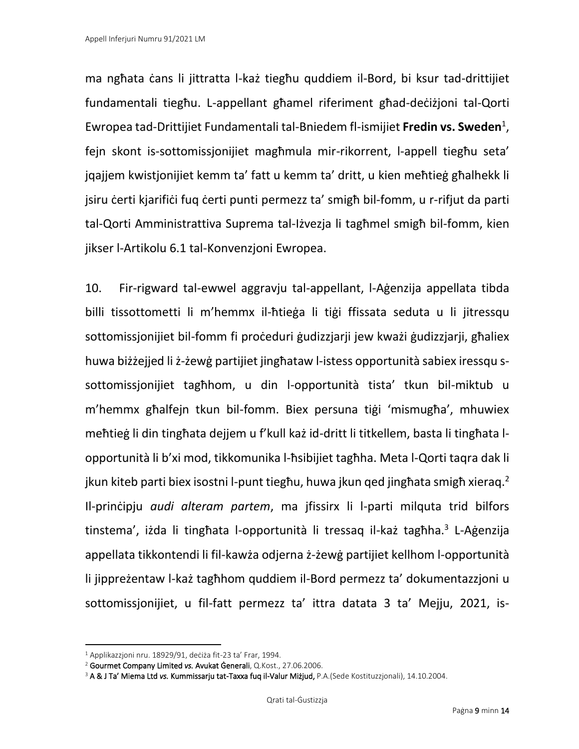ma ngħata ċans li jittratta l-każ tiegħu quddiem il-Bord, bi ksur tad-drittijiet fundamentali tiegħu. L-appellant għamel riferiment għad-deċiżjoni tal-Qorti Ewropea tad-Drittijiet Fundamentali tal-Bniedem fl-ismijiet **Fredin vs. Sweden**<sup>1</sup> , fejn skont is-sottomissjonijiet magħmula mir-rikorrent, l-appell tiegħu seta' jqajjem kwistjonijiet kemm ta' fatt u kemm ta' dritt, u kien meħtieġ għalhekk li jsiru čerti kjarifiči fuq čerti punti permezz ta' smigh bil-fomm, u r-rifjut da parti tal-Qorti Amministrattiva Suprema tal-Iżvezja li tagħmel smigħ bil-fomm, kien jikser l-Artikolu 6.1 tal-Konvenzjoni Ewropea.

10. Fir-rigward tal-ewwel aggravju tal-appellant, l-Aġenzija appellata tibda billi tissottometti li m'hemmx il-ħtieġa li tiġi ffissata seduta u li jitressqu sottomissjonijiet bil-fomm fi proċeduri ġudizzjarji jew kważi ġudizzjarji, għaliex huwa biżżejjed li ż-żewġ partijiet jingħataw l-istess opportunità sabiex iressqu ssottomissjonijiet tagħhom, u din l-opportunità tista' tkun bil-miktub u m'hemmx għalfejn tkun bil-fomm. Biex persuna tiġi 'mismugħa', mhuwiex meħtieġ li din tingħata dejjem u f'kull każ id-dritt li titkellem, basta li tingħata lopportunità li b'xi mod, tikkomunika l-ħsibijiet tagħha. Meta l-Qorti taqra dak li jkun kiteb parti biex isostni l-punt tiegħu, huwa jkun qed jingħata smigħ xieraq.<sup>2</sup> Il-prinċipju *audi alteram partem*, ma jfissirx li l-parti milquta trid bilfors tinstema', iżda li tingħata l-opportunità li tressaq il-każ tagħha.<sup>3</sup> L-Aġenzija appellata tikkontendi li fil-kawża odjerna ż-żewġ partijiet kellhom l-opportunità li jippreżentaw l-każ tagħhom quddiem il-Bord permezz ta' dokumentazzjoni u sottomissjonijiet, u fil-fatt permezz ta' ittra datata 3 ta' Mejju, 2021, is-

<sup>1</sup> Applikazzjoni nru. 18929/91, deċiża fit-23 ta' Frar, 1994.

<sup>2</sup> Gourmet Company Limited *vs.* Avukat Ġenerali, Q.Kost., 27.06.2006.

<sup>3</sup> A & J Ta' Miema Ltd *vs.* Kummissarju tat-Taxxa fuq il-Valur Miżjud, P.A.(Sede Kostituzzjonali), 14.10.2004.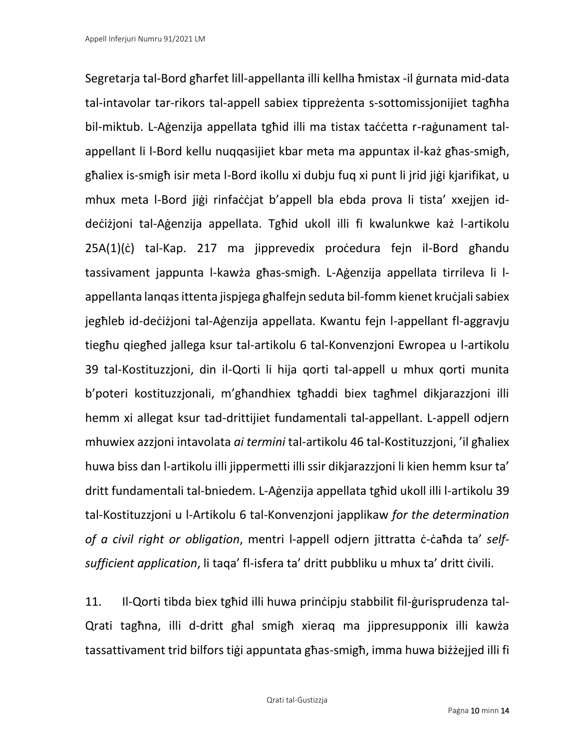Segretarja tal-Bord għarfet lill-appellanta illi kellha ħmistax -il ġurnata mid-data tal-intavolar tar-rikors tal-appell sabiex tippreżenta s-sottomissjonijiet tagħha bil-miktub. L-Aġenzija appellata tgħid illi ma tistax taċċetta r-raġunament talappellant li l-Bord kellu nuqqasijiet kbar meta ma appuntax il-każ għas-smigħ, għaliex is-smigħ isir meta l-Bord ikollu xi dubju fuq xi punt li jrid jiġi kjarifikat, u mhux meta l-Bord jiġi rinfaċċjat b'appell bla ebda prova li tista' xxejjen iddeċiżjoni tal-Aġenzija appellata. Tgħid ukoll illi fi kwalunkwe każ l-artikolu 25A(1)(ċ) tal-Kap. 217 ma jipprevedix proċedura fejn il-Bord għandu tassivament jappunta l-kawża għas-smigħ. L-Aġenzija appellata tirrileva li lappellanta lanqas ittenta jispjega għalfejn seduta bil-fomm kienet kruċjali sabiex jegħleb id-deċiżjoni tal-Aġenzija appellata. Kwantu fejn l-appellant fl-aggravju tiegħu qiegħed jallega ksur tal-artikolu 6 tal-Konvenzjoni Ewropea u l-artikolu 39 tal-Kostituzzjoni, din il-Qorti li hija qorti tal-appell u mhux qorti munita b'poteri kostituzzjonali, m'għandhiex tgħaddi biex tagħmel dikjarazzjoni illi hemm xi allegat ksur tad-drittijiet fundamentali tal-appellant. L-appell odjern mhuwiex azzjoni intavolata *ai termini* tal-artikolu 46 tal-Kostituzzjoni, 'il għaliex huwa biss dan l-artikolu illi jippermetti illi ssir dikjarazzjoni li kien hemm ksur ta' dritt fundamentali tal-bniedem. L-Aġenzija appellata tgħid ukoll illi l-artikolu 39 tal-Kostituzzjoni u l-Artikolu 6 tal-Konvenzjoni japplikaw *for the determination of a civil right or obligation*, mentri l-appell odjern jittratta ċ-ċaħda ta' *selfsufficient application*, li taqa' fl-isfera ta' dritt pubbliku u mhux ta' dritt ċivili.

11. Il-Qorti tibda biex tgħid illi huwa prinċipju stabbilit fil-ġurisprudenza tal-Qrati tagħna, illi d-dritt għal smigħ xieraq ma jippresupponix illi kawża tassattivament trid bilfors tiġi appuntata għas-smigħ, imma huwa biżżejjed illi fi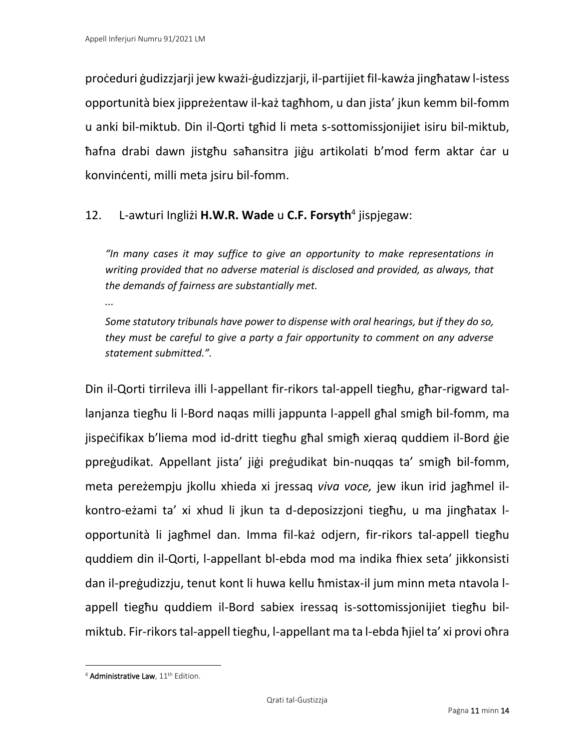proċeduri ġudizzjarji jew kważi-ġudizzjarji, il-partijiet fil-kawża jingħataw l-istess opportunità biex jippreżentaw il-każ tagħhom, u dan jista' jkun kemm bil-fomm u anki bil-miktub. Din il-Qorti tgħid li meta s-sottomissjonijiet isiru bil-miktub, ħafna drabi dawn jistgħu saħansitra jiġu artikolati b'mod ferm aktar ċar u konvinċenti, milli meta jsiru bil-fomm.

## 12. L-awturi Ingliżi **H.W.R. Wade** u **C.F. Forsyth**<sup>4</sup> jispjegaw:

*"In many cases it may suffice to give an opportunity to make representations in writing provided that no adverse material is disclosed and provided, as always, that the demands of fairness are substantially met.* 

*...*

*Some statutory tribunals have power to dispense with oral hearings, but if they do so, they must be careful to give a party a fair opportunity to comment on any adverse statement submitted.".*

Din il-Qorti tirrileva illi l-appellant fir-rikors tal-appell tiegħu, għar-rigward tallanjanza tiegħu li l-Bord naqas milli jappunta l-appell għal smigħ bil-fomm, ma jispeċifikax b'liema mod id-dritt tiegħu għal smigħ xieraq quddiem il-Bord ġie ppreġudikat. Appellant jista' jiġi preġudikat bin-nuqqas ta' smigħ bil-fomm, meta pereżempju jkollu xhieda xi jressaq *viva voce,* jew ikun irid jagħmel ilkontro-eżami ta' xi xhud li jkun ta d-deposizzjoni tiegħu, u ma jingħatax lopportunità li jagħmel dan. Imma fil-każ odjern, fir-rikors tal-appell tiegħu quddiem din il-Qorti, l-appellant bl-ebda mod ma indika fhiex seta' jikkonsisti dan il-preġudizzju, tenut kont li huwa kellu ħmistax-il jum minn meta ntavola lappell tiegħu quddiem il-Bord sabiex iressaq is-sottomissjonijiet tiegħu bilmiktub. Fir-rikors tal-appell tiegħu, l-appellant ma ta l-ebda ħjiel ta' xi provi oħra

<sup>&</sup>lt;sup>4</sup> Administrative Law, 11<sup>th</sup> Edition.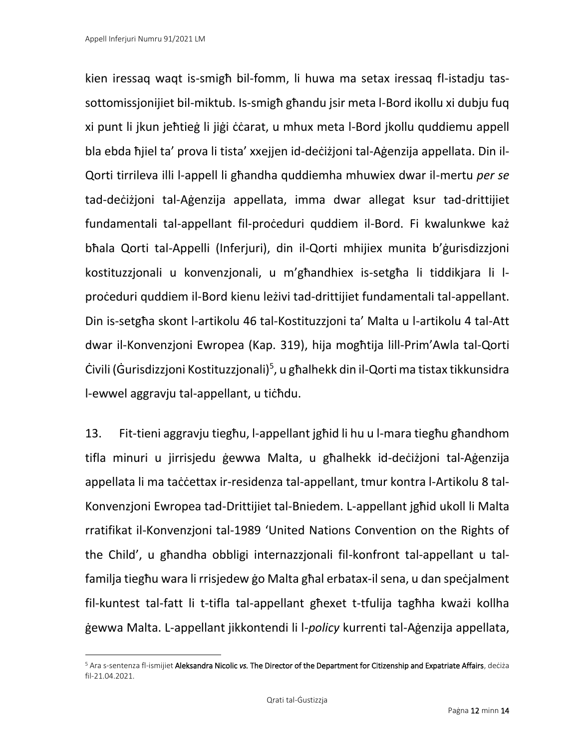kien iressaq waqt is-smigħ bil-fomm, li huwa ma setax iressaq fl-istadju tassottomissjonijiet bil-miktub. Is-smigħ għandu jsir meta l-Bord ikollu xi dubju fuq xi punt li jkun jeħtieġ li jiġi ċċarat, u mhux meta l-Bord jkollu quddiemu appell bla ebda ħjiel ta' prova li tista' xxejjen id-deċiżjoni tal-Aġenzija appellata. Din il-Qorti tirrileva illi l-appell li għandha quddiemha mhuwiex dwar il-mertu *per se* tad-deċiżjoni tal-Aġenzija appellata, imma dwar allegat ksur tad-drittijiet fundamentali tal-appellant fil-proċeduri quddiem il-Bord. Fi kwalunkwe każ bħala Qorti tal-Appelli (Inferjuri), din il-Qorti mhijiex munita b'ġurisdizzjoni kostituzzjonali u konvenzjonali, u m'għandhiex is-setgħa li tiddikjara li lproċeduri quddiem il-Bord kienu leżivi tad-drittijiet fundamentali tal-appellant. Din is-setgħa skont l-artikolu 46 tal-Kostituzzjoni ta' Malta u l-artikolu 4 tal-Att dwar il-Konvenzjoni Ewropea (Kap. 319), hija mogħtija lill-Prim'Awla tal-Qorti Ċivili (Ġurisdizzjoni Kostituzzjonali)<sup>5</sup>, u għalhekk din il-Qorti ma tistax tikkunsidra l-ewwel aggravju tal-appellant, u tiċħdu.

13. Fit-tieni aggravju tiegħu, l-appellant jgħid li hu u l-mara tiegħu għandhom tifla minuri u jirrisjedu ġewwa Malta, u għalhekk id-deċiżjoni tal-Aġenzija appellata li ma taċċettax ir-residenza tal-appellant, tmur kontra l-Artikolu 8 tal-Konvenzjoni Ewropea tad-Drittijiet tal-Bniedem. L-appellant jgħid ukoll li Malta rratifikat il-Konvenzjoni tal-1989 'United Nations Convention on the Rights of the Child', u għandha obbligi internazzjonali fil-konfront tal-appellant u talfamilja tiegħu wara li rrisjedew ġo Malta għal erbatax-il sena, u dan speċjalment fil-kuntest tal-fatt li t-tifla tal-appellant għexet t-tfulija tagħha kważi kollha ġewwa Malta. L-appellant jikkontendi li l-*policy* kurrenti tal-Aġenzija appellata,

<sup>5</sup> Ara s-sentenza fl-ismijiet Aleksandra Nicolic *vs.* The Director of the Department for Citizenship and Expatriate Affairs, deċiża fil-21.04.2021.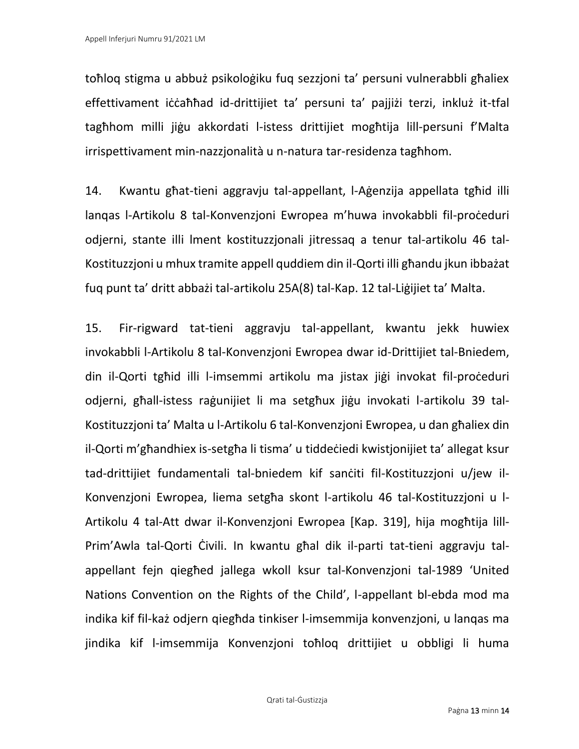toħloq stigma u abbuż psikoloġiku fuq sezzjoni ta' persuni vulnerabbli għaliex effettivament iċċaħħad id-drittijiet ta' persuni ta' pajjiżi terzi, inkluż it-tfal tagħhom milli jiġu akkordati l-istess drittijiet mogħtija lill-persuni f'Malta irrispettivament min-nazzjonalità u n-natura tar-residenza tagħhom.

14. Kwantu għat-tieni aggravju tal-appellant, l-Aġenzija appellata tgħid illi lanqas l-Artikolu 8 tal-Konvenzjoni Ewropea m'huwa invokabbli fil-proċeduri odjerni, stante illi lment kostituzzjonali jitressaq a tenur tal-artikolu 46 tal-Kostituzzjoni u mhux tramite appell quddiem din il-Qorti illi għandu jkun ibbażat fuq punt ta' dritt abbażi tal-artikolu 25A(8) tal-Kap. 12 tal-Liġijiet ta' Malta.

15. Fir-rigward tat-tieni aggravju tal-appellant, kwantu jekk huwiex invokabbli l-Artikolu 8 tal-Konvenzjoni Ewropea dwar id-Drittijiet tal-Bniedem, din il-Qorti tgħid illi l-imsemmi artikolu ma jistax jiġi invokat fil-proċeduri odjerni, għall-istess raġunijiet li ma setgħux jiġu invokati l-artikolu 39 tal-Kostituzzjoni ta' Malta u l-Artikolu 6 tal-Konvenzjoni Ewropea, u dan għaliex din il-Qorti m'għandhiex is-setgħa li tisma' u tiddeċiedi kwistjonijiet ta' allegat ksur tad-drittijiet fundamentali tal-bniedem kif sanċiti fil-Kostituzzjoni u/jew il-Konvenzjoni Ewropea, liema setgħa skont l-artikolu 46 tal-Kostituzzjoni u l-Artikolu 4 tal-Att dwar il-Konvenzjoni Ewropea [Kap. 319], hija mogħtija lill-Prim'Awla tal-Qorti Ċivili. In kwantu għal dik il-parti tat-tieni aggravju talappellant fejn qiegħed jallega wkoll ksur tal-Konvenzjoni tal-1989 'United Nations Convention on the Rights of the Child', l-appellant bl-ebda mod ma indika kif fil-każ odjern qiegħda tinkiser l-imsemmija konvenzjoni, u lanqas ma jindika kif l-imsemmija Konvenzjoni toħloq drittijiet u obbligi li huma